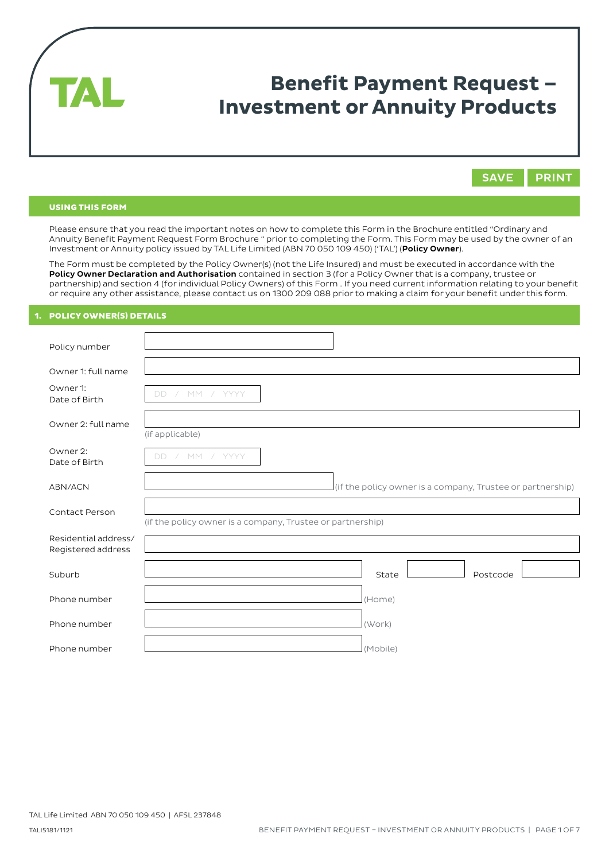

# USING THIS FORM

Please ensure that you read the important notes on how to complete this Form in the Brochure entitled "Ordinary and Annuity Benefit Payment Request Form Brochure " prior to completing the Form. This Form may be used by the owner of an Investment or Annuity policy issued by TAL Life Limited (ABN 70 050 109 450) ('TAL') (Policy Owner).

SAVE PRINT

The Form must be completed by the Policy Owner(s) (not the Life Insured) and must be executed in accordance with the Policy Owner Declaration and Authorisation contained in section 3 (for a Policy Owner that is a company, trustee or partnership) and section 4 (for individual Policy Owners) of this Form . If you need current information relating to your benefit or require any other assistance, please contact us on 1300 209 088 prior to making a claim for your benefit under this form.

#### POLICY OWNER(S) DETAILS

| Policy number                              |                                                              |
|--------------------------------------------|--------------------------------------------------------------|
| Owner 1: full name                         |                                                              |
| Owner 1:<br>Date of Birth                  | <b>MM</b><br><b>DD</b><br>/ YYYY<br>$\overline{\phantom{a}}$ |
| Owner 2: full name                         |                                                              |
|                                            | (if applicable)                                              |
| Owner 2:<br>Date of Birth                  | / MM / YYYY<br>DD.                                           |
| ABN/ACN                                    | (if the policy owner is a company, Trustee or partnership)   |
| Contact Person                             |                                                              |
|                                            | (if the policy owner is a company, Trustee or partnership)   |
| Residential address/<br>Registered address |                                                              |
|                                            |                                                              |
| Suburb                                     | State<br>Postcode                                            |
| Phone number                               | (Home)                                                       |
| Phone number                               | (Work)                                                       |
| Phone number                               | (Mobile)                                                     |

TALI5181/1121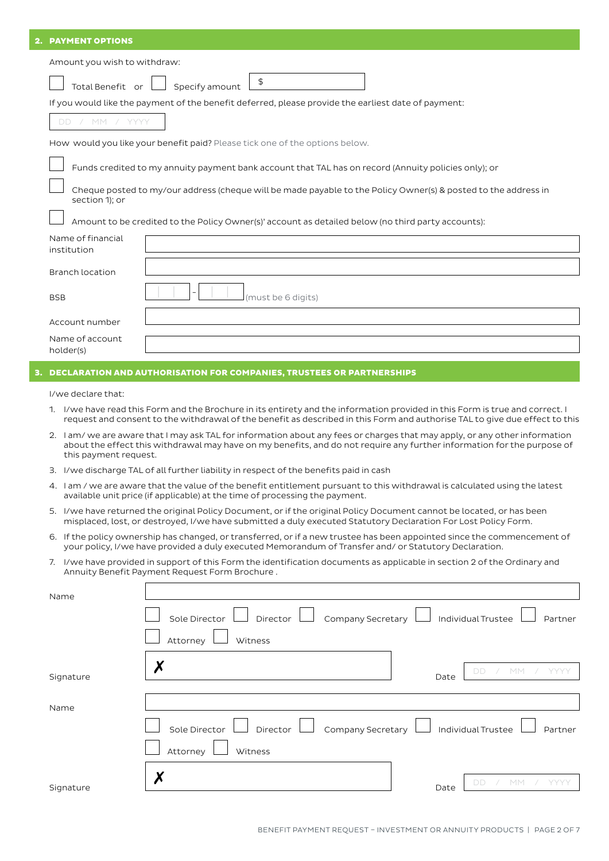| <b>2. PAYMENT OPTIONS</b>                                                                                                        |                                                                                                                                                                                                                                                              |  |
|----------------------------------------------------------------------------------------------------------------------------------|--------------------------------------------------------------------------------------------------------------------------------------------------------------------------------------------------------------------------------------------------------------|--|
| Amount you wish to withdraw:                                                                                                     |                                                                                                                                                                                                                                                              |  |
| Total Benefit or                                                                                                                 | \$<br>Specify amount                                                                                                                                                                                                                                         |  |
|                                                                                                                                  | If you would like the payment of the benefit deferred, please provide the earliest date of payment:                                                                                                                                                          |  |
| DD.<br>/ MM / YYYY                                                                                                               |                                                                                                                                                                                                                                                              |  |
| How would you like your benefit paid? Please tick one of the options below.                                                      |                                                                                                                                                                                                                                                              |  |
|                                                                                                                                  |                                                                                                                                                                                                                                                              |  |
| Funds credited to my annuity payment bank account that TAL has on record (Annuity policies only); or                             |                                                                                                                                                                                                                                                              |  |
| Cheque posted to my/our address (cheque will be made payable to the Policy Owner(s) & posted to the address in<br>section 1); or |                                                                                                                                                                                                                                                              |  |
|                                                                                                                                  | Amount to be credited to the Policy Owner(s)' account as detailed below (no third party accounts):                                                                                                                                                           |  |
| Name of financial<br>institution                                                                                                 |                                                                                                                                                                                                                                                              |  |
|                                                                                                                                  |                                                                                                                                                                                                                                                              |  |
| <b>Branch location</b>                                                                                                           |                                                                                                                                                                                                                                                              |  |
| <b>BSB</b>                                                                                                                       | (must be 6 digits)                                                                                                                                                                                                                                           |  |
| Account number                                                                                                                   |                                                                                                                                                                                                                                                              |  |
| Name of account<br>holder(s)                                                                                                     |                                                                                                                                                                                                                                                              |  |
|                                                                                                                                  | <b>DECLARATION AND AUTHORISATION FOR COMPANIES, TRUSTEES OR PARTNERSHIPS</b>                                                                                                                                                                                 |  |
|                                                                                                                                  |                                                                                                                                                                                                                                                              |  |
|                                                                                                                                  |                                                                                                                                                                                                                                                              |  |
| I/we declare that:                                                                                                               | 1. I/we have read this Form and the Brochure in its entirety and the information provided in this Form is true and correct. I<br>request and consent to the withdrawal of the benefit as described in this Form and authorise TAL to give due effect to this |  |
|                                                                                                                                  | 2. I am/we are aware that I may ask TAL for information about any fees or charges that may apply, or any other information<br>about the effect this withdrawal may have on my benefits, and do not require any further information for the purpose of        |  |
| this payment request.<br>З.                                                                                                      | I/we discharge TAL of all further liability in respect of the benefits paid in cash                                                                                                                                                                          |  |
|                                                                                                                                  | 4. I am / we are aware that the value of the benefit entitlement pursuant to this withdrawal is calculated using the latest<br>available unit price (if applicable) at the time of processing the payment.                                                   |  |
|                                                                                                                                  | 5. I/we have returned the original Policy Document, or if the original Policy Document cannot be located, or has been<br>misplaced, lost, or destroyed, I/we have submitted a duly executed Statutory Declaration For Lost Policy Form.                      |  |
|                                                                                                                                  | 6. If the policy ownership has changed, or transferred, or if a new trustee has been appointed since the commencement of<br>your policy, I/we have provided a duly executed Memorandum of Transfer and/ or Statutory Declaration.                            |  |
|                                                                                                                                  | 7. I/we have provided in support of this Form the identification documents as applicable in section 2 of the Ordinary and<br>Annuity Benefit Payment Request Form Brochure.                                                                                  |  |
| Name                                                                                                                             |                                                                                                                                                                                                                                                              |  |
|                                                                                                                                  | Sole Director<br>Company Secretary<br>Director<br>Individual Trustee<br>Partner                                                                                                                                                                              |  |
|                                                                                                                                  | Attorney<br>Witness                                                                                                                                                                                                                                          |  |
| Signature                                                                                                                        | Х<br>$MM$ /<br><b>YYYY</b><br>DD.<br>Date                                                                                                                                                                                                                    |  |
|                                                                                                                                  |                                                                                                                                                                                                                                                              |  |
| Name                                                                                                                             |                                                                                                                                                                                                                                                              |  |
|                                                                                                                                  | Sole Director<br>Company Secretary<br>Director<br>Individual Trustee<br>Partner<br>Attorney<br>Witness                                                                                                                                                       |  |

| $\overline{\phantom{a}}$<br>$t \cdot r$<br><b>Sidnature</b> |                      |
|-------------------------------------------------------------|----------------------|
| .                                                           | $\sim$ $\sim$ $\sim$ |

DD / MM / YYYY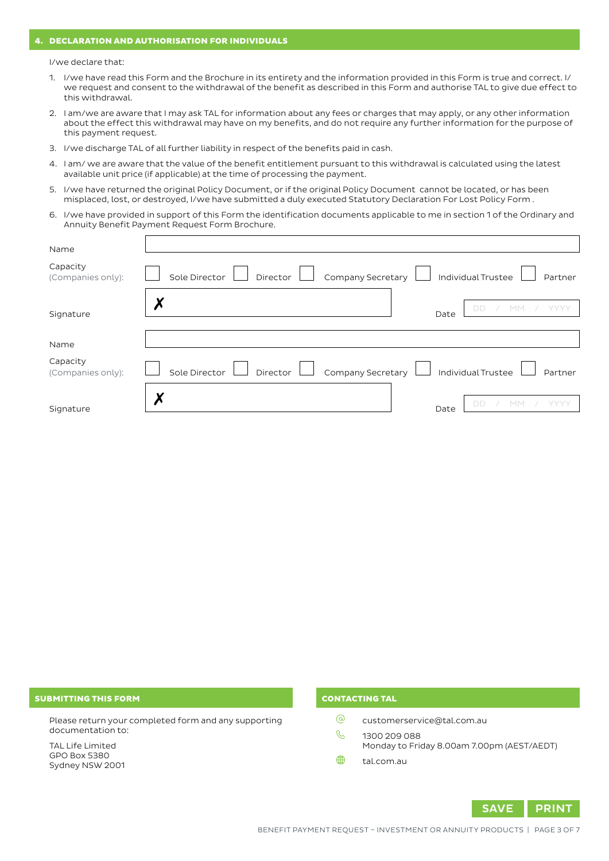## 4. DECLARATION AND AUTHORISATION FOR INDIVIDUALS

I/we declare that:

- 1. I/we have read this Form and the Brochure in its entirety and the information provided in this Form is true and correct. I/ we request and consent to the withdrawal of the benefit as described in this Form and authorise TAL to give due effect to this withdrawal.
- 2. I am/we are aware that I may ask TAL for information about any fees or charges that may apply, or any other information about the effect this withdrawal may have on my benefits, and do not require any further information for the purpose of this payment request.
- 3. I/we discharge TAL of all further liability in respect of the benefits paid in cash.
- 4. I am/ we are aware that the value of the benefit entitlement pursuant to this withdrawal is calculated using the latest available unit price (if applicable) at the time of processing the payment.
- 5. I/we have returned the original Policy Document, or if the original Policy Document cannot be located, or has been misplaced, lost, or destroyed, I/we have submitted a duly executed Statutory Declaration For Lost Policy Form .
- 6. I/we have provided in support of this Form the identification documents applicable to me in section 1 of the Ordinary and Annuity Benefit Payment Request Form Brochure.

| Name                          |                                                                                 |
|-------------------------------|---------------------------------------------------------------------------------|
| Capacity<br>(Companies only): | Sole Director<br>Director<br>Company Secretary<br>Individual Trustee<br>Partner |
| Signature                     | DF<br>Date                                                                      |
| Name                          |                                                                                 |
| Capacity<br>(Companies only): | Individual Trustee<br>Sole Director<br>Director<br>Company Secretary<br>Partner |
| Signature                     | DE<br>Date                                                                      |

## SUBMITTING THIS FORM

Please return your completed form and any supporting documentation to:

TAL Life Limited GPO Box 5380 Sydney NSW 2001

## CONTACTING TAL

 $\odot$ customerservice@tal.com.au

 $\%$  1300 209 088 Monday to Friday 8.00am 7.00pm (AEST/AEDT)

⊕ tal.com.au

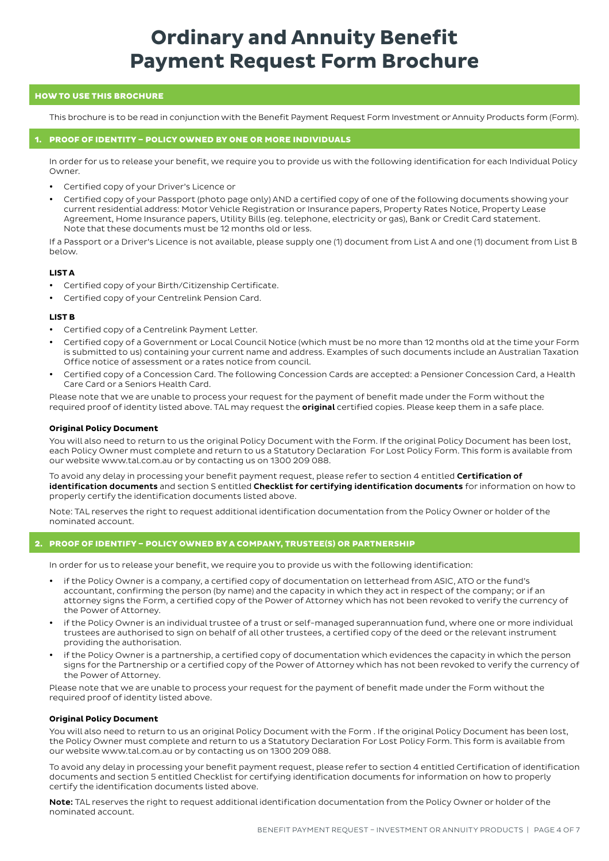# **Ordinary and Annuity Benefit Payment Request Form Brochure**

# HOW TO USE THIS BROCHURE

This brochure is to be read in conjunction with the Benefit Payment Request Form Investment or Annuity Products form (Form).

## 1. PROOF OF IDENTITY – POLICY OWNED BY ONE OR MORE INDIVIDUALS

In order for us to release your benefit, we require you to provide us with the following identification for each Individual Policy Owner.

- Certified copy of your Driver's Licence or
- Certified copy of your Passport (photo page only) AND a certified copy of one of the following documents showing your current residential address: Motor Vehicle Registration or Insurance papers, Property Rates Notice, Property Lease Agreement, Home Insurance papers, Utility Bills (eg. telephone, electricity or gas), Bank or Credit Card statement. Note that these documents must be 12 months old or less.

If a Passport or a Driver's Licence is not available, please supply one (1) document from List A and one (1) document from List B below.

## **LIST A**

- Certified copy of your Birth/Citizenship Certificate.
- Certified copy of your Centrelink Pension Card.

#### **LIST B**

- Certified copy of a Centrelink Payment Letter.
- Certified copy of a Government or Local Council Notice (which must be no more than 12 months old at the time your Form is submitted to us) containing your current name and address. Examples of such documents include an Australian Taxation Office notice of assessment or a rates notice from council.
- Certified copy of a Concession Card. The following Concession Cards are accepted: a Pensioner Concession Card, a Health Care Card or a Seniors Health Card.

Please note that we are unable to process your request for the payment of benefit made under the Form without the required proof of identity listed above. TAL may request the original certified copies. Please keep them in a safe place.

### **Original Policy Document**

You will also need to return to us the original Policy Document with the Form. If the original Policy Document has been lost, each Policy Owner must complete and return to us a Statutory Declaration For Lost Policy Form. This form is available from our website www.tal.com.au or by contacting us on 1300 209 088.

To avoid any delay in processing your benefit payment request, please refer to section 4 entitled Certification of identification documents and section S entitled Checklist for certifying identification documents for information on how to properly certify the identification documents listed above.

Note: TAL reserves the right to request additional identification documentation from the Policy Owner or holder of the nominated account.

## 2. PROOF OF IDENTIFY – POLICY OWNED BY A COMPANY, TRUSTEE(S) OR PARTNERSHIP

In order for us to release your benefit, we require you to provide us with the following identification:

- if the Policy Owner is a company, a certified copy of documentation on letterhead from ASIC. ATO or the fund's accountant, confirming the person (by name) and the capacity in which they act in respect of the company; or if an attorney signs the Form, a certified copy of the Power of Attorney which has not been revoked to verify the currency of the Power of Attorney.
- if the Policy Owner is an individual trustee of a trust or self-managed superannuation fund, where one or more individual trustees are authorised to sign on behalf of all other trustees, a certified copy of the deed or the relevant instrument providing the authorisation.
- if the Policy Owner is a partnership, a certified copy of documentation which evidences the capacity in which the person signs for the Partnership or a certified copy of the Power of Attorney which has not been revoked to verify the currency of the Power of Attorney.

Please note that we are unable to process your request for the payment of benefit made under the Form without the required proof of identity listed above.

#### **Original Policy Document**

You will also need to return to us an original Policy Document with the Form . If the original Policy Document has been lost, the Policy Owner must complete and return to us a Statutory Declaration For Lost Policy Form. This form is available from our website www.tal.com.au or by contacting us on 1300 209 088.

To avoid any delay in processing your benefit payment request, please refer to section 4 entitled Certification of identification documents and section 5 entitled Checklist for certifying identification documents for information on how to properly certify the identification documents listed above.

Note: TAL reserves the right to request additional identification documentation from the Policy Owner or holder of the nominated account.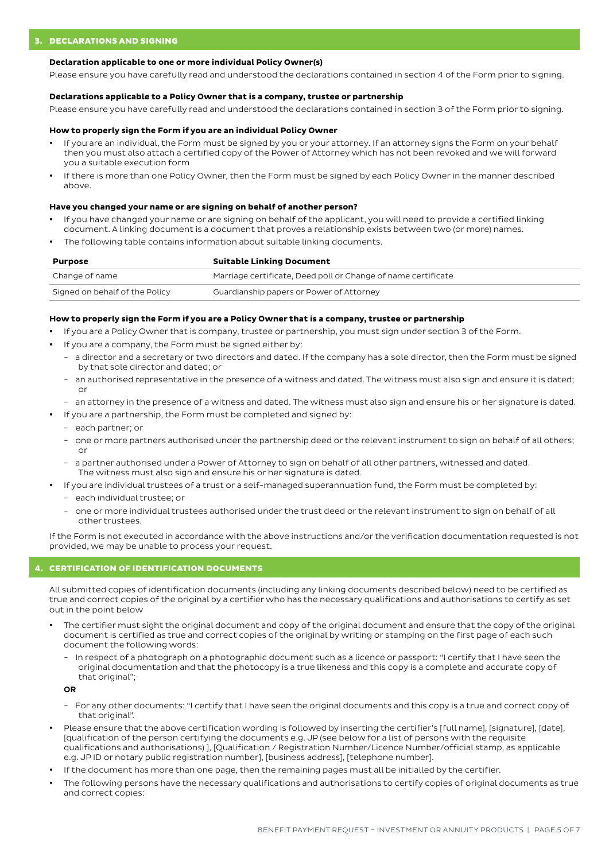#### **Declaration applicable to one or more individual Policy Owner(s)**

Please ensure you have carefully read and understood the declarations contained in section 4 of the Form prior to signing.

#### **Declarations applicable to a Policy Owner that is a company, trustee or partnership**

Please ensure you have carefully read and understood the declarations contained in section 3 of the Form prior to signing.

#### **How to properly sign the Form if you are an individual Policy Owner**

- If you are an individual, the Form must be signed by you or your attorney. If an attorney signs the Form on your behalf then you must also attach a certified copy of the Power of Attorney which has not been revoked and we will forward you a suitable execution form
- If there is more than one Policy Owner, then the Form must be signed by each Policy Owner in the manner described above.

#### **Have you changed your name or are signing on behalf of another person?**

- If you have changed your name or are signing on behalf of the applicant, you will need to provide a certified linking document. A linking document is a document that proves a relationship exists between two (or more) names.
- The following table contains information about suitable linking documents.

| <b>Purpose</b>                 | <b>Suitable Linking Document</b>                              |
|--------------------------------|---------------------------------------------------------------|
| Change of name                 | Marriage certificate, Deed poll or Change of name certificate |
| Signed on behalf of the Policy | Guardianship papers or Power of Attorney                      |

#### **How to properly sign the Form if you are a Policy Owner that is a company, trustee or partnership**

- If you are a Policy Owner that is company, trustee or partnership, you must sign under section 3 of the Form.
- If you are a company, the Form must be signed either by:
	- a director and a secretary or two directors and dated. If the company has a sole director, then the Form must be signed by that sole director and dated; or
	- an authorised representative in the presence of a witness and dated. The witness must also sign and ensure it is dated; or
	- an attorney in the presence of a witness and dated. The witness must also sign and ensure his or her signature is dated.
- If you are a partnership, the Form must be completed and signed by:
	- each partner; or
	- one or more partners authorised under the partnership deed or the relevant instrument to sign on behalf of all others; or
	- a partner authorised under a Power of Attorney to sign on behalf of all other partners, witnessed and dated. The witness must also sign and ensure his or her signature is dated.
- If you are individual trustees of a trust or a self-managed superannuation fund, the Form must be completed by:
	- each individual trustee; or
	- one or more individual trustees authorised under the trust deed or the relevant instrument to sign on behalf of all other trustees.

If the Form is not executed in accordance with the above instructions and/or the verification documentation requested is not provided, we may be unable to process your request.

## 4. CERTIFICATION OF IDENTIFICATION DOCUMENTS

All submitted copies of identification documents (including any linking documents described below) need to be certified as true and correct copies of the original by a certifier who has the necessary qualifications and authorisations to certify as set out in the point below

- The certifier must sight the original document and copy of the original document and ensure that the copy of the original document is certified as true and correct copies of the original by writing or stamping on the first page of each such document the following words:
	- In respect of a photograph on a photographic document such as a licence or passport: "I certify that I have seen the original documentation and that the photocopy is a true likeness and this copy is a complete and accurate copy of that original";

OR

- For any other documents: "I certify that I have seen the original documents and this copy is a true and correct copy of that original".
- Please ensure that the above certification wording is followed by inserting the certifier's [full name], [signature], [date], [qualification of the person certifying the documents e.g. JP (see below for a list of persons with the requisite qualifications and authorisations) ], [Qualification / Registration Number/Licence Number/official stamp, as applicable e.g. JP ID or notary public registration number], [business address], [telephone number].
- If the document has more than one page, then the remaining pages must all be initialled by the certifier.
- The following persons have the necessary qualifications and authorisations to certify copies of original documents as true and correct copies: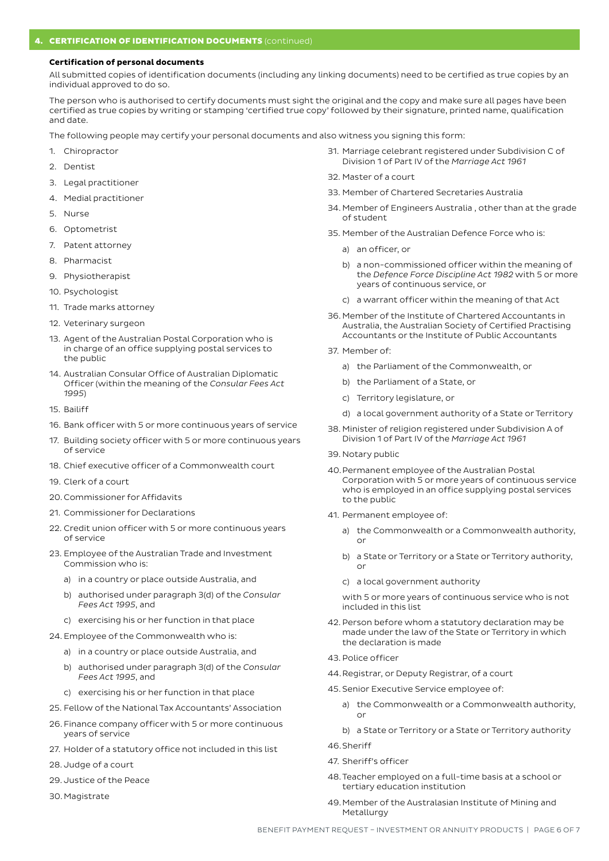#### **Certification of personal documents**

All submitted copies of identification documents (including any linking documents) need to be certified as true copies by an individual approved to do so.

The person who is authorised to certify documents must sight the original and the copy and make sure all pages have been certified as true copies by writing or stamping 'certified true copy' followed by their signature, printed name, qualification and date.

The following people may certify your personal documents and also witness you signing this form:

- 1. Chiropractor
- 2. Dentist
- 3. Legal practitioner
- 4. Medial practitioner
- 5. Nurse
- 6. Optometrist
- 7. Patent attorney
- 8. Pharmacist
- 9. Physiotherapist
- 10. Psychologist
- 11. Trade marks attorney
- 12. Veterinary surgeon
- 13. Agent of the Australian Postal Corporation who is in charge of an office supplying postal services to the public
- 14. Australian Consular Office of Australian Diplomatic Officer (within the meaning of the *Consular Fees Act 1995*)
- 15. Bailiff
- 16. Bank officer with 5 or more continuous years of service
- 17. Building society officer with 5 or more continuous years of service
- 18. Chief executive officer of a Commonwealth court
- 19. Clerk of a court
- 20. Commissioner for Affidavits
- 21. Commissioner for Declarations
- 22. Credit union officer with 5 or more continuous years of service
- 23. Employee of the Australian Trade and Investment Commission who is:
	- a) in a country or place outside Australia, and
	- b) authorised under paragraph 3(d) of the *Consular Fees Act 1995*, and
	- c) exercising his or her function in that place
- 24. Employee of the Commonwealth who is:
	- a) in a country or place outside Australia, and
	- b) authorised under paragraph 3(d) of the *Consular Fees Act 1995*, and
	- c) exercising his or her function in that place
- 25. Fellow of the National Tax Accountants' Association
- 26. Finance company officer with 5 or more continuous years of service
- 27. Holder of a statutory office not included in this list
- 28. Judge of a court
- 29. Justice of the Peace
- 30. Magistrate
- 31. Marriage celebrant registered under Subdivision C of Division 1 of Part IV of the *Marriage Act 1961*
- 32. Master of a court
- 33. Member of Chartered Secretaries Australia
- 34. Member of Engineers Australia , other than at the grade of student
- 35. Member of the Australian Defence Force who is:
	- a) an officer, or
	- b) a non-commissioned officer within the meaning of the *Defence Force Discipline Act 1982* with 5 or more years of continuous service, or
	- c) a warrant officer within the meaning of that Act
- 36. Member of the Institute of Chartered Accountants in Australia, the Australian Society of Certified Practising Accountants or the Institute of Public Accountants
- 37. Member of:
	- a) the Parliament of the Commonwealth, or
	- b) the Parliament of a State, or
	- c) Territory legislature, or
	- d) a local government authority of a State or Territory
- 38. Minister of religion registered under Subdivision A of Division 1 of Part IV of the *Marriage Act 1961*
- 39. Notary public
- 40.Permanent employee of the Australian Postal Corporation with 5 or more years of continuous service who is employed in an office supplying postal services to the public
- 41. Permanent employee of:
	- a) the Commonwealth or a Commonwealth authority, or
	- b) a State or Territory or a State or Territory authority, or
	- c) a local government authority

with 5 or more years of continuous service who is not included in this list

- 42. Person before whom a statutory declaration may be made under the law of the State or Territory in which the declaration is made
- 43. Police officer
- 44.Registrar, or Deputy Registrar, of a court
- 45. Senior Executive Service employee of:
	- a) the Commonwealth or a Commonwealth authority, or
	- b) a State or Territory or a State or Territory authority
- 46.Sheriff
- 47. Sheriff's officer
- 48.Teacher employed on a full-time basis at a school or tertiary education institution
- 49.Member of the Australasian Institute of Mining and Metallurgy